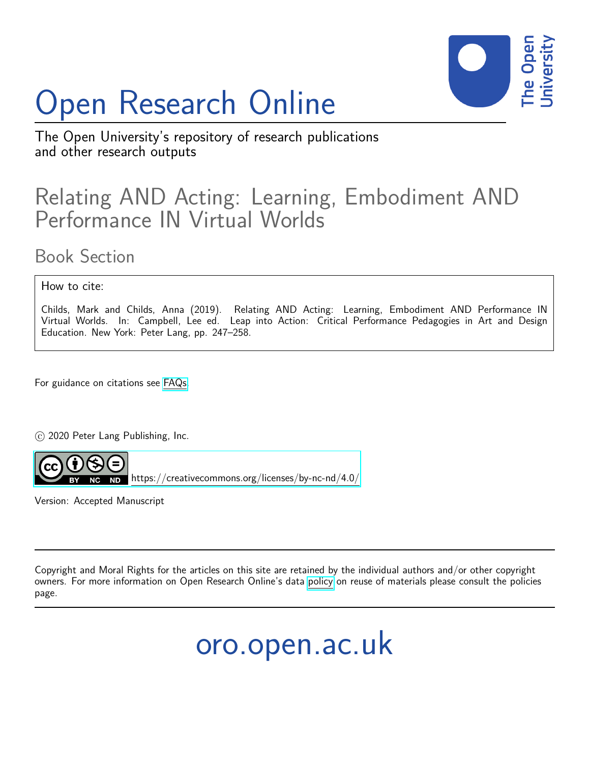# Open Research Online



The Open University's repository of research publications and other research outputs

# Relating AND Acting: Learning, Embodiment AND Performance IN Virtual Worlds

Book Section

How to cite:

Childs, Mark and Childs, Anna (2019). Relating AND Acting: Learning, Embodiment AND Performance IN Virtual Worlds. In: Campbell, Lee ed. Leap into Action: Critical Performance Pedagogies in Art and Design Education. New York: Peter Lang, pp. 247–258.

For guidance on citations see [FAQs.](http://oro.open.ac.uk/help/helpfaq.html)

c 2020 Peter Lang Publishing, Inc.



<https://creativecommons.org/licenses/by-nc-nd/4.0/>

Version: Accepted Manuscript

Copyright and Moral Rights for the articles on this site are retained by the individual authors and/or other copyright owners. For more information on Open Research Online's data [policy](http://oro.open.ac.uk/policies.html) on reuse of materials please consult the policies page.

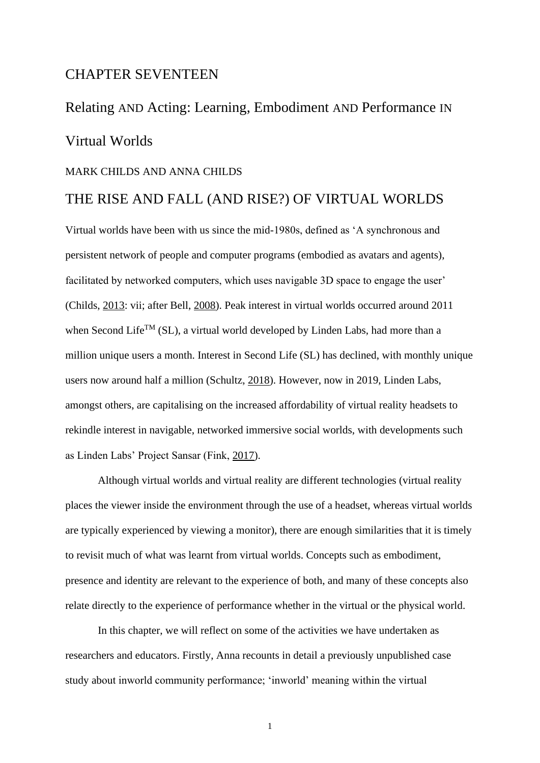# CHAPTER SEVENTEEN

# Relating AND Acting: Learning, Embodiment AND Performance IN Virtual Worlds

#### MARK CHILDS AND ANNA CHILDS

# THE RISE AND FALL (AND RISE?) OF VIRTUAL WORLDS

Virtual worlds have been with us since the mid-1980s, defined as 'A synchronous and persistent network of people and computer programs (embodied as avatars and agents), facilitated by networked computers, which uses navigable 3D space to engage the user' (Childs, [2013:](#page-16-0) vii; after Bell, [2008\)](#page-15-0). Peak interest in virtual worlds occurred around 2011 when Second Life<sup>TM</sup> (SL), a virtual world developed by Linden Labs, had more than a million unique users a month. Interest in Second Life (SL) has declined, with monthly unique users now around half a million (Schultz, [2018\)](#page-18-0). However, now in 2019, Linden Labs, amongst others, are capitalising on the increased affordability of virtual reality headsets to rekindle interest in navigable, networked immersive social worlds, with developments such as Linden Labs' Project Sansar (Fink, [2017\)](#page-16-1).

Although virtual worlds and virtual reality are different technologies (virtual reality places the viewer inside the environment through the use of a headset, whereas virtual worlds are typically experienced by viewing a monitor), there are enough similarities that it is timely to revisit much of what was learnt from virtual worlds. Concepts such as embodiment, presence and identity are relevant to the experience of both, and many of these concepts also relate directly to the experience of performance whether in the virtual or the physical world.

In this chapter, we will reflect on some of the activities we have undertaken as researchers and educators. Firstly, Anna recounts in detail a previously unpublished case study about inworld community performance; 'inworld' meaning within the virtual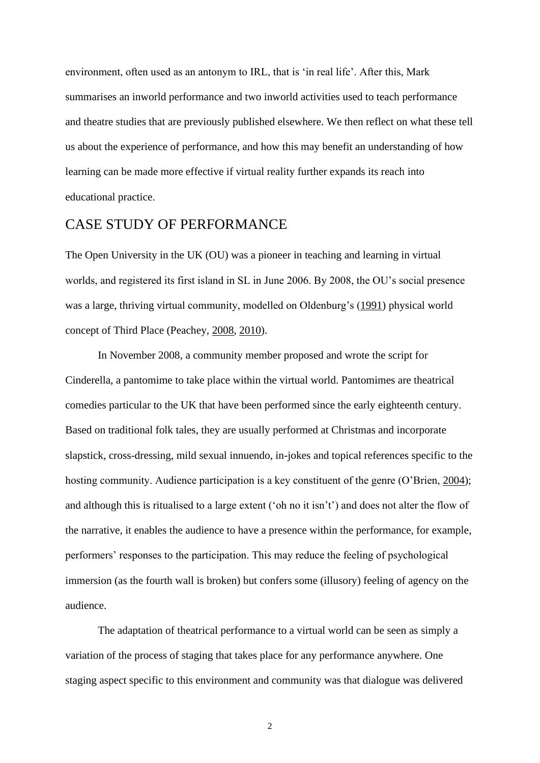environment, often used as an antonym to IRL, that is 'in real life'. After this, Mark summarises an inworld performance and two inworld activities used to teach performance and theatre studies that are previously published elsewhere. We then reflect on what these tell us about the experience of performance, and how this may benefit an understanding of how learning can be made more effective if virtual reality further expands its reach into educational practice.

## CASE STUDY OF PERFORMANCE

The Open University in the UK (OU) was a pioneer in teaching and learning in virtual worlds, and registered its first island in SL in June 2006. By 2008, the OU's social presence was a large, thriving virtual community, modelled on Oldenburg's [\(1991\)](#page-17-0) physical world concept of Third Place (Peachey, [2008,](#page-17-1) [2010\)](#page-17-2).

In November 2008, a community member proposed and wrote the script for Cinderella, a pantomime to take place within the virtual world. Pantomimes are theatrical comedies particular to the UK that have been performed since the early eighteenth century. Based on traditional folk tales, they are usually performed at Christmas and incorporate slapstick, cross-dressing, mild sexual innuendo, in-jokes and topical references specific to the hosting community. Audience participation is a key constituent of the genre (O'Brien, [2004\)](#page-17-3); and although this is ritualised to a large extent ('oh no it isn't') and does not alter the flow of the narrative, it enables the audience to have a presence within the performance, for example, performers' responses to the participation. This may reduce the feeling of psychological immersion (as the fourth wall is broken) but confers some (illusory) feeling of agency on the audience.

The adaptation of theatrical performance to a virtual world can be seen as simply a variation of the process of staging that takes place for any performance anywhere. One staging aspect specific to this environment and community was that dialogue was delivered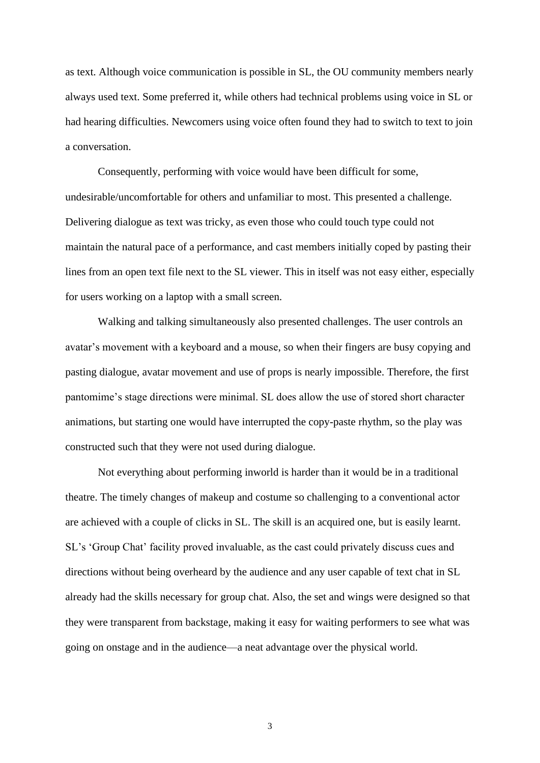as text. Although voice communication is possible in SL, the OU community members nearly always used text. Some preferred it, while others had technical problems using voice in SL or had hearing difficulties. Newcomers using voice often found they had to switch to text to join a conversation.

Consequently, performing with voice would have been difficult for some, undesirable/uncomfortable for others and unfamiliar to most. This presented a challenge. Delivering dialogue as text was tricky, as even those who could touch type could not maintain the natural pace of a performance, and cast members initially coped by pasting their lines from an open text file next to the SL viewer. This in itself was not easy either, especially for users working on a laptop with a small screen.

Walking and talking simultaneously also presented challenges. The user controls an avatar's movement with a keyboard and a mouse, so when their fingers are busy copying and pasting dialogue, avatar movement and use of props is nearly impossible. Therefore, the first pantomime's stage directions were minimal. SL does allow the use of stored short character animations, but starting one would have interrupted the copy-paste rhythm, so the play was constructed such that they were not used during dialogue.

Not everything about performing inworld is harder than it would be in a traditional theatre. The timely changes of makeup and costume so challenging to a conventional actor are achieved with a couple of clicks in SL. The skill is an acquired one, but is easily learnt. SL's 'Group Chat' facility proved invaluable, as the cast could privately discuss cues and directions without being overheard by the audience and any user capable of text chat in SL already had the skills necessary for group chat. Also, the set and wings were designed so that they were transparent from backstage, making it easy for waiting performers to see what was going on onstage and in the audience—a neat advantage over the physical world.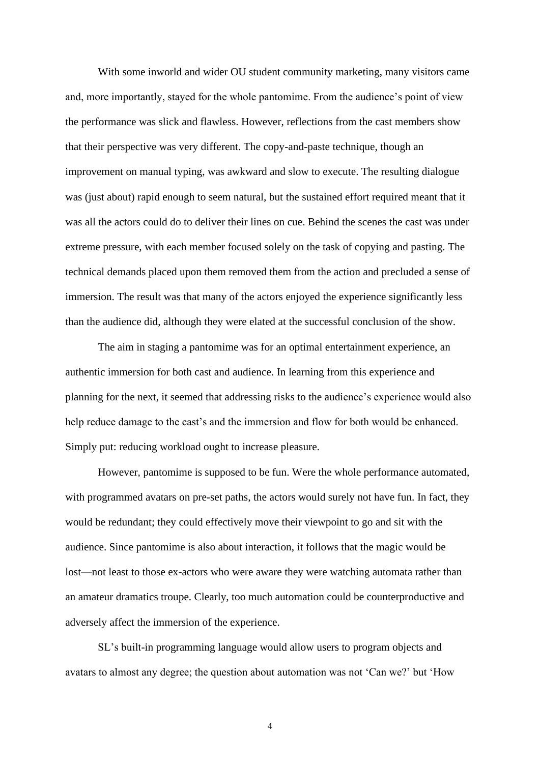With some inworld and wider OU student community marketing, many visitors came and, more importantly, stayed for the whole pantomime. From the audience's point of view the performance was slick and flawless. However, reflections from the cast members show that their perspective was very different. The copy-and-paste technique, though an improvement on manual typing, was awkward and slow to execute. The resulting dialogue was (just about) rapid enough to seem natural, but the sustained effort required meant that it was all the actors could do to deliver their lines on cue. Behind the scenes the cast was under extreme pressure, with each member focused solely on the task of copying and pasting. The technical demands placed upon them removed them from the action and precluded a sense of immersion. The result was that many of the actors enjoyed the experience significantly less than the audience did, although they were elated at the successful conclusion of the show.

The aim in staging a pantomime was for an optimal entertainment experience, an authentic immersion for both cast and audience. In learning from this experience and planning for the next, it seemed that addressing risks to the audience's experience would also help reduce damage to the cast's and the immersion and flow for both would be enhanced. Simply put: reducing workload ought to increase pleasure.

However, pantomime is supposed to be fun. Were the whole performance automated, with programmed avatars on pre-set paths, the actors would surely not have fun. In fact, they would be redundant; they could effectively move their viewpoint to go and sit with the audience. Since pantomime is also about interaction, it follows that the magic would be lost—not least to those ex-actors who were aware they were watching automata rather than an amateur dramatics troupe. Clearly, too much automation could be counterproductive and adversely affect the immersion of the experience.

SL's built-in programming language would allow users to program objects and avatars to almost any degree; the question about automation was not 'Can we?' but 'How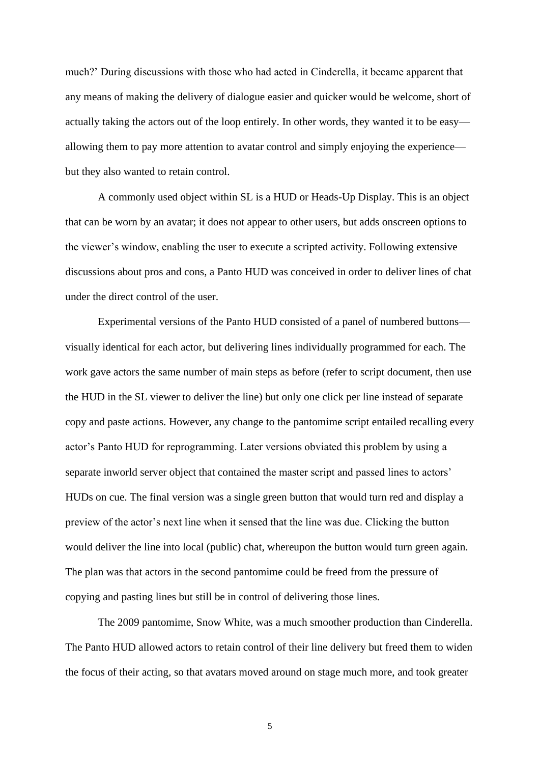much?' During discussions with those who had acted in Cinderella, it became apparent that any means of making the delivery of dialogue easier and quicker would be welcome, short of actually taking the actors out of the loop entirely. In other words, they wanted it to be easy allowing them to pay more attention to avatar control and simply enjoying the experience but they also wanted to retain control.

A commonly used object within SL is a HUD or Heads-Up Display. This is an object that can be worn by an avatar; it does not appear to other users, but adds onscreen options to the viewer's window, enabling the user to execute a scripted activity. Following extensive discussions about pros and cons, a Panto HUD was conceived in order to deliver lines of chat under the direct control of the user.

Experimental versions of the Panto HUD consisted of a panel of numbered buttons visually identical for each actor, but delivering lines individually programmed for each. The work gave actors the same number of main steps as before (refer to script document, then use the HUD in the SL viewer to deliver the line) but only one click per line instead of separate copy and paste actions. However, any change to the pantomime script entailed recalling every actor's Panto HUD for reprogramming. Later versions obviated this problem by using a separate inworld server object that contained the master script and passed lines to actors' HUDs on cue. The final version was a single green button that would turn red and display a preview of the actor's next line when it sensed that the line was due. Clicking the button would deliver the line into local (public) chat, whereupon the button would turn green again. The plan was that actors in the second pantomime could be freed from the pressure of copying and pasting lines but still be in control of delivering those lines.

The 2009 pantomime, Snow White, was a much smoother production than Cinderella. The Panto HUD allowed actors to retain control of their line delivery but freed them to widen the focus of their acting, so that avatars moved around on stage much more, and took greater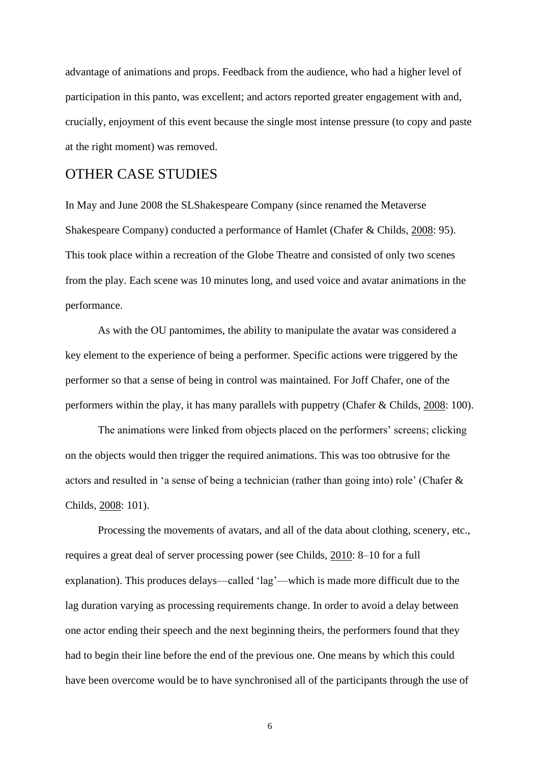advantage of animations and props. Feedback from the audience, who had a higher level of participation in this panto, was excellent; and actors reported greater engagement with and, crucially, enjoyment of this event because the single most intense pressure (to copy and paste at the right moment) was removed.

# OTHER CASE STUDIES

In May and June 2008 the SLShakespeare Company (since renamed the Metaverse Shakespeare Company) conducted a performance of Hamlet (Chafer & Childs, [2008:](#page-15-1) 95). This took place within a recreation of the Globe Theatre and consisted of only two scenes from the play. Each scene was 10 minutes long, and used voice and avatar animations in the performance.

As with the OU pantomimes, the ability to manipulate the avatar was considered a key element to the experience of being a performer. Specific actions were triggered by the performer so that a sense of being in control was maintained. For Joff Chafer, one of the performers within the play, it has many parallels with puppetry (Chafer & Childs, [2008:](#page-15-1) 100).

The animations were linked from objects placed on the performers' screens; clicking on the objects would then trigger the required animations. This was too obtrusive for the actors and resulted in 'a sense of being a technician (rather than going into) role' (Chafer & Childs, [2008:](#page-15-1) 101).

Processing the movements of avatars, and all of the data about clothing, scenery, etc., requires a great deal of server processing power (see Childs, [2010:](#page-16-2) 8–10 for a full explanation). This produces delays—called 'lag'—which is made more difficult due to the lag duration varying as processing requirements change. In order to avoid a delay between one actor ending their speech and the next beginning theirs, the performers found that they had to begin their line before the end of the previous one. One means by which this could have been overcome would be to have synchronised all of the participants through the use of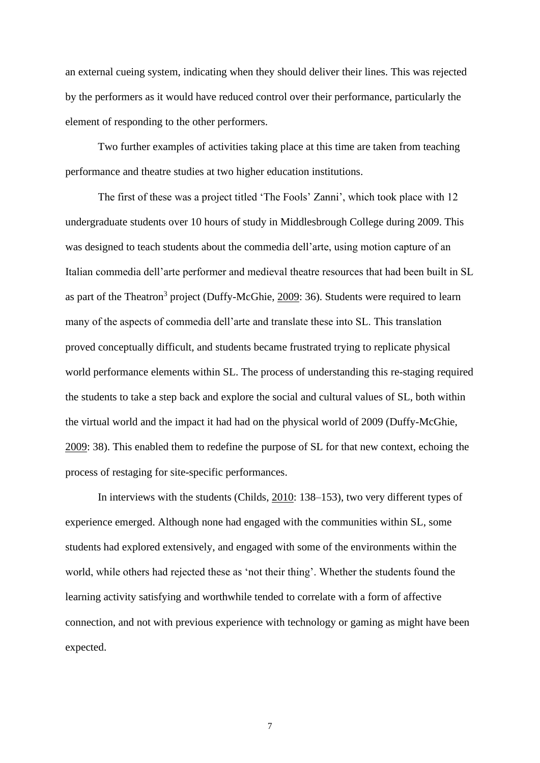an external cueing system, indicating when they should deliver their lines. This was rejected by the performers as it would have reduced control over their performance, particularly the element of responding to the other performers.

Two further examples of activities taking place at this time are taken from teaching performance and theatre studies at two higher education institutions.

The first of these was a project titled 'The Fools' Zanni', which took place with 12 undergraduate students over 10 hours of study in Middlesbrough College during 2009. This was designed to teach students about the commedia dell'arte, using motion capture of an Italian commedia dell'arte performer and medieval theatre resources that had been built in SL as part of the Theatron<sup>3</sup> project (Duffy-McGhie, [2009:](#page-16-3) 36). Students were required to learn many of the aspects of commedia dell'arte and translate these into SL. This translation proved conceptually difficult, and students became frustrated trying to replicate physical world performance elements within SL. The process of understanding this re-staging required the students to take a step back and explore the social and cultural values of SL, both within the virtual world and the impact it had had on the physical world of 2009 (Duffy-McGhie, [2009:](#page-16-3) 38). This enabled them to redefine the purpose of SL for that new context, echoing the process of restaging for site-specific performances.

In interviews with the students (Childs, [2010:](#page-16-2) 138–153), two very different types of experience emerged. Although none had engaged with the communities within SL, some students had explored extensively, and engaged with some of the environments within the world, while others had rejected these as 'not their thing'. Whether the students found the learning activity satisfying and worthwhile tended to correlate with a form of affective connection, and not with previous experience with technology or gaming as might have been expected.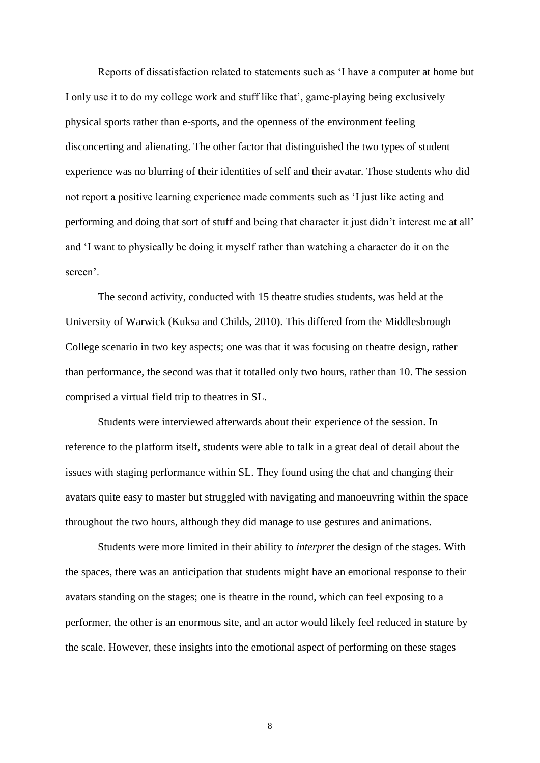Reports of dissatisfaction related to statements such as 'I have a computer at home but I only use it to do my college work and stuff like that', game-playing being exclusively physical sports rather than e-sports, and the openness of the environment feeling disconcerting and alienating. The other factor that distinguished the two types of student experience was no blurring of their identities of self and their avatar. Those students who did not report a positive learning experience made comments such as 'I just like acting and performing and doing that sort of stuff and being that character it just didn't interest me at all' and 'I want to physically be doing it myself rather than watching a character do it on the screen'.

The second activity, conducted with 15 theatre studies students, was held at the University of Warwick (Kuksa and Childs, [2010\)](#page-16-2). This differed from the Middlesbrough College scenario in two key aspects; one was that it was focusing on theatre design, rather than performance, the second was that it totalled only two hours, rather than 10. The session comprised a virtual field trip to theatres in SL.

Students were interviewed afterwards about their experience of the session. In reference to the platform itself, students were able to talk in a great deal of detail about the issues with staging performance within SL. They found using the chat and changing their avatars quite easy to master but struggled with navigating and manoeuvring within the space throughout the two hours, although they did manage to use gestures and animations.

Students were more limited in their ability to *interpret* the design of the stages. With the spaces, there was an anticipation that students might have an emotional response to their avatars standing on the stages; one is theatre in the round, which can feel exposing to a performer, the other is an enormous site, and an actor would likely feel reduced in stature by the scale. However, these insights into the emotional aspect of performing on these stages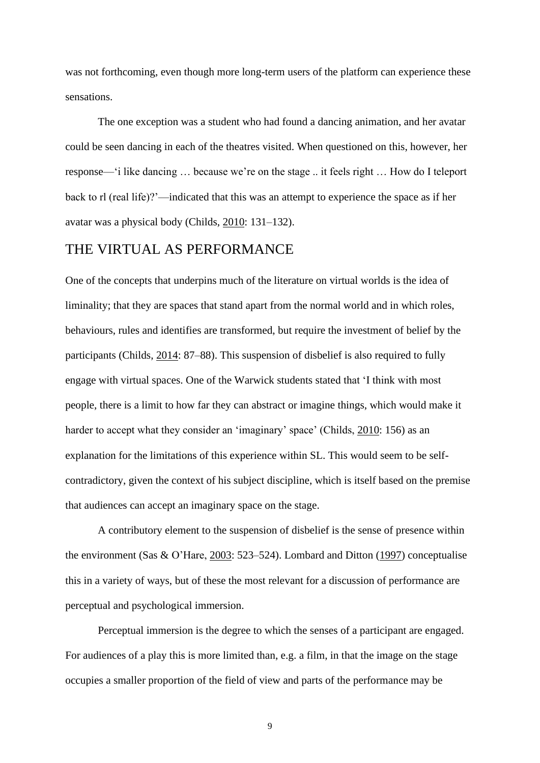was not forthcoming, even though more long-term users of the platform can experience these sensations.

The one exception was a student who had found a dancing animation, and her avatar could be seen dancing in each of the theatres visited. When questioned on this, however, her response—'i like dancing … because we're on the stage .. it feels right … How do I teleport back to rl (real life)?'—indicated that this was an attempt to experience the space as if her avatar was a physical body (Childs, [2010:](#page-16-2) 131–132).

# THE VIRTUAL AS PERFORMANCE

One of the concepts that underpins much of the literature on virtual worlds is the idea of liminality; that they are spaces that stand apart from the normal world and in which roles, behaviours, rules and identifies are transformed, but require the investment of belief by the participants (Childs, [2014:](#page-16-4) 87–88). This suspension of disbelief is also required to fully engage with virtual spaces. One of the Warwick students stated that 'I think with most people, there is a limit to how far they can abstract or imagine things, which would make it harder to accept what they consider an 'imaginary' space' (Childs, [2010:](#page-16-2) 156) as an explanation for the limitations of this experience within SL. This would seem to be selfcontradictory, given the context of his subject discipline, which is itself based on the premise that audiences can accept an imaginary space on the stage.

A contributory element to the suspension of disbelief is the sense of presence within the environment (Sas & O'Hare, [2003:](#page-18-1) 523–524). Lombard and Ditton [\(1997\)](#page-17-4) conceptualise this in a variety of ways, but of these the most relevant for a discussion of performance are perceptual and psychological immersion.

Perceptual immersion is the degree to which the senses of a participant are engaged. For audiences of a play this is more limited than, e.g. a film, in that the image on the stage occupies a smaller proportion of the field of view and parts of the performance may be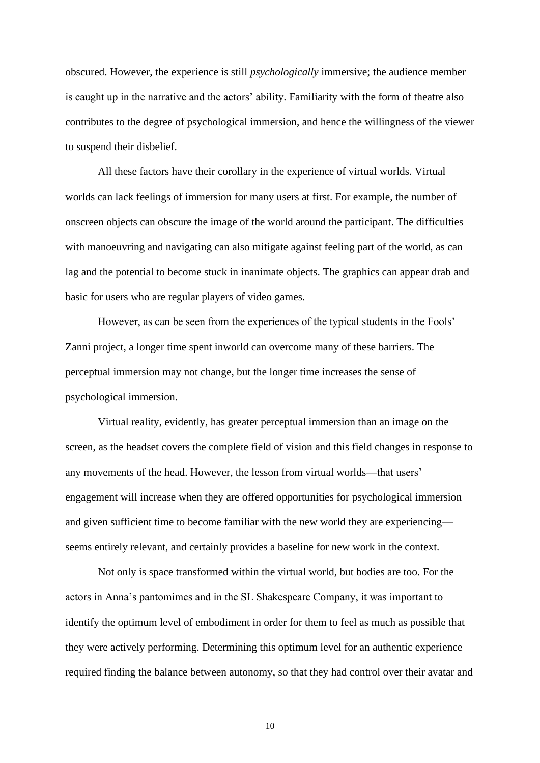obscured. However, the experience is still *psychologically* immersive; the audience member is caught up in the narrative and the actors' ability. Familiarity with the form of theatre also contributes to the degree of psychological immersion, and hence the willingness of the viewer to suspend their disbelief.

All these factors have their corollary in the experience of virtual worlds. Virtual worlds can lack feelings of immersion for many users at first. For example, the number of onscreen objects can obscure the image of the world around the participant. The difficulties with manoeuvring and navigating can also mitigate against feeling part of the world, as can lag and the potential to become stuck in inanimate objects. The graphics can appear drab and basic for users who are regular players of video games.

However, as can be seen from the experiences of the typical students in the Fools' Zanni project, a longer time spent inworld can overcome many of these barriers. The perceptual immersion may not change, but the longer time increases the sense of psychological immersion.

Virtual reality, evidently, has greater perceptual immersion than an image on the screen, as the headset covers the complete field of vision and this field changes in response to any movements of the head. However, the lesson from virtual worlds—that users' engagement will increase when they are offered opportunities for psychological immersion and given sufficient time to become familiar with the new world they are experiencing seems entirely relevant, and certainly provides a baseline for new work in the context.

Not only is space transformed within the virtual world, but bodies are too. For the actors in Anna's pantomimes and in the SL Shakespeare Company, it was important to identify the optimum level of embodiment in order for them to feel as much as possible that they were actively performing. Determining this optimum level for an authentic experience required finding the balance between autonomy, so that they had control over their avatar and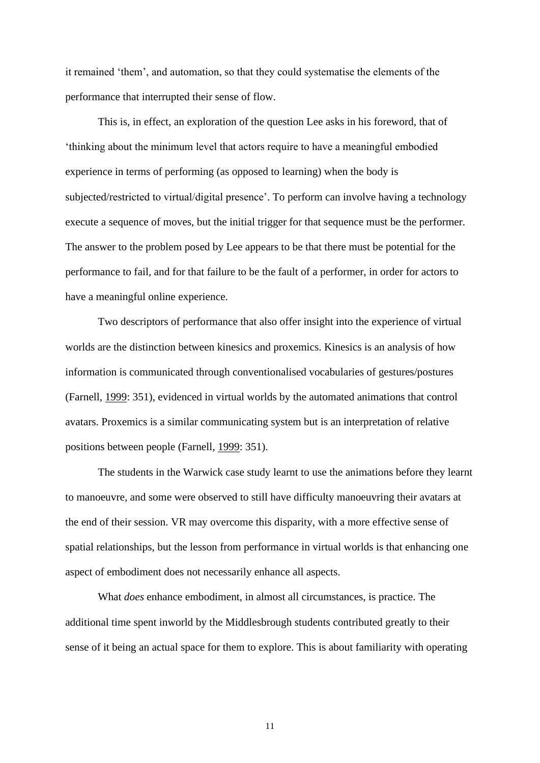it remained 'them', and automation, so that they could systematise the elements of the performance that interrupted their sense of flow.

This is, in effect, an exploration of the question Lee asks in his foreword, that of 'thinking about the minimum level that actors require to have a meaningful embodied experience in terms of performing (as opposed to learning) when the body is subjected/restricted to virtual/digital presence'. To perform can involve having a technology execute a sequence of moves, but the initial trigger for that sequence must be the performer. The answer to the problem posed by Lee appears to be that there must be potential for the performance to fail, and for that failure to be the fault of a performer, in order for actors to have a meaningful online experience.

Two descriptors of performance that also offer insight into the experience of virtual worlds are the distinction between kinesics and proxemics. Kinesics is an analysis of how information is communicated through conventionalised vocabularies of gestures/postures (Farnell, [1999:](#page-16-5) 351), evidenced in virtual worlds by the automated animations that control avatars. Proxemics is a similar communicating system but is an interpretation of relative positions between people (Farnell, [1999:](#page-16-5) 351).

The students in the Warwick case study learnt to use the animations before they learnt to manoeuvre, and some were observed to still have difficulty manoeuvring their avatars at the end of their session. VR may overcome this disparity, with a more effective sense of spatial relationships, but the lesson from performance in virtual worlds is that enhancing one aspect of embodiment does not necessarily enhance all aspects.

What *does* enhance embodiment, in almost all circumstances, is practice. The additional time spent inworld by the Middlesbrough students contributed greatly to their sense of it being an actual space for them to explore. This is about familiarity with operating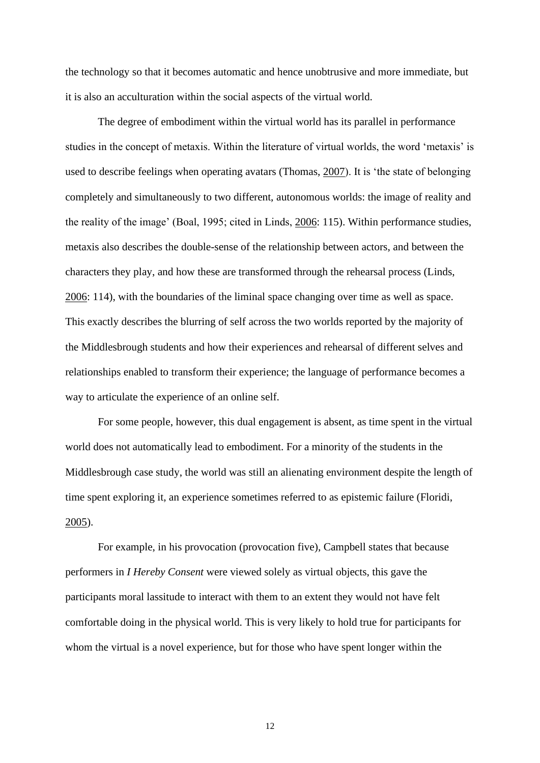the technology so that it becomes automatic and hence unobtrusive and more immediate, but it is also an acculturation within the social aspects of the virtual world.

The degree of embodiment within the virtual world has its parallel in performance studies in the concept of metaxis. Within the literature of virtual worlds, the word 'metaxis' is used to describe feelings when operating avatars (Thomas, [2007\)](#page-18-2). It is 'the state of belonging completely and simultaneously to two different, autonomous worlds: the image of reality and the reality of the image' (Boal, 1995; cited in Linds, [2006:](#page-17-5) 115). Within performance studies, metaxis also describes the double-sense of the relationship between actors, and between the characters they play, and how these are transformed through the rehearsal process (Linds, [2006:](#page-17-5) 114), with the boundaries of the liminal space changing over time as well as space. This exactly describes the blurring of self across the two worlds reported by the majority of the Middlesbrough students and how their experiences and rehearsal of different selves and relationships enabled to transform their experience; the language of performance becomes a way to articulate the experience of an online self.

For some people, however, this dual engagement is absent, as time spent in the virtual world does not automatically lead to embodiment. For a minority of the students in the Middlesbrough case study, the world was still an alienating environment despite the length of time spent exploring it, an experience sometimes referred to as epistemic failure (Floridi, [2005\)](#page-17-6).

For example, in his provocation (provocation five), Campbell states that because performers in *I Hereby Consent* were viewed solely as virtual objects, this gave the participants moral lassitude to interact with them to an extent they would not have felt comfortable doing in the physical world. This is very likely to hold true for participants for whom the virtual is a novel experience, but for those who have spent longer within the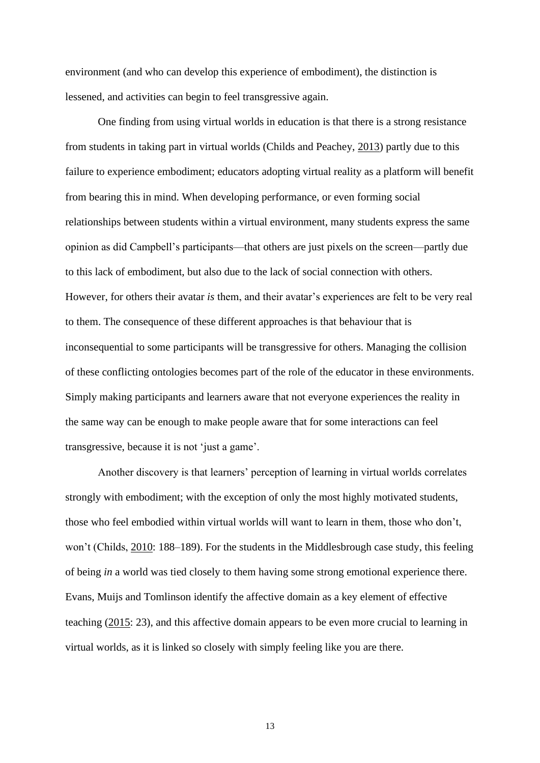environment (and who can develop this experience of embodiment), the distinction is lessened, and activities can begin to feel transgressive again.

One finding from using virtual worlds in education is that there is a strong resistance from students in taking part in virtual worlds (Childs and Peachey, [2013\)](#page-16-0) partly due to this failure to experience embodiment; educators adopting virtual reality as a platform will benefit from bearing this in mind. When developing performance, or even forming social relationships between students within a virtual environment, many students express the same opinion as did Campbell's participants—that others are just pixels on the screen—partly due to this lack of embodiment, but also due to the lack of social connection with others. However, for others their avatar *is* them, and their avatar's experiences are felt to be very real to them. The consequence of these different approaches is that behaviour that is inconsequential to some participants will be transgressive for others. Managing the collision of these conflicting ontologies becomes part of the role of the educator in these environments. Simply making participants and learners aware that not everyone experiences the reality in the same way can be enough to make people aware that for some interactions can feel transgressive, because it is not 'just a game'.

Another discovery is that learners' perception of learning in virtual worlds correlates strongly with embodiment; with the exception of only the most highly motivated students, those who feel embodied within virtual worlds will want to learn in them, those who don't, won't (Childs, [2010:](#page-16-2) 188–189). For the students in the Middlesbrough case study, this feeling of being *in* a world was tied closely to them having some strong emotional experience there. Evans, Muijs and Tomlinson identify the affective domain as a key element of effective teaching [\(2015:](#page-16-6) 23), and this affective domain appears to be even more crucial to learning in virtual worlds, as it is linked so closely with simply feeling like you are there.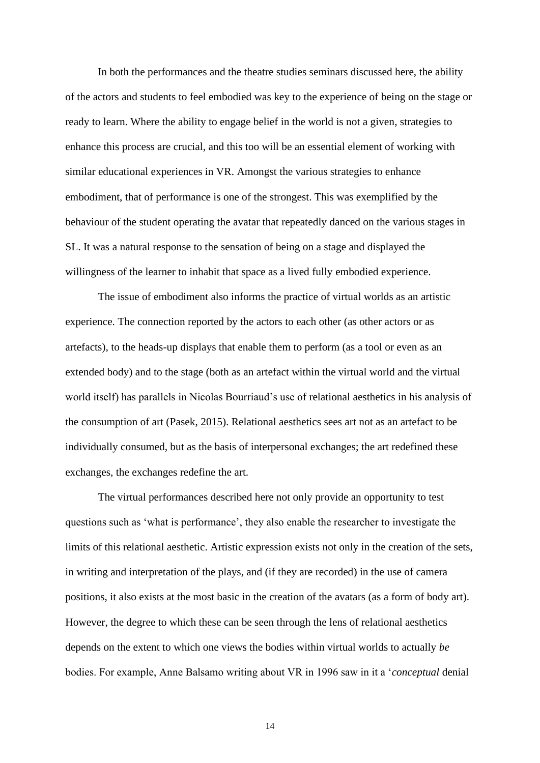In both the performances and the theatre studies seminars discussed here, the ability of the actors and students to feel embodied was key to the experience of being on the stage or ready to learn. Where the ability to engage belief in the world is not a given, strategies to enhance this process are crucial, and this too will be an essential element of working with similar educational experiences in VR. Amongst the various strategies to enhance embodiment, that of performance is one of the strongest. This was exemplified by the behaviour of the student operating the avatar that repeatedly danced on the various stages in SL. It was a natural response to the sensation of being on a stage and displayed the willingness of the learner to inhabit that space as a lived fully embodied experience.

The issue of embodiment also informs the practice of virtual worlds as an artistic experience. The connection reported by the actors to each other (as other actors or as artefacts), to the heads-up displays that enable them to perform (as a tool or even as an extended body) and to the stage (both as an artefact within the virtual world and the virtual world itself) has parallels in Nicolas Bourriaud's use of relational aesthetics in his analysis of the consumption of art (Pasek, [2015\)](#page-17-7). Relational aesthetics sees art not as an artefact to be individually consumed, but as the basis of interpersonal exchanges; the art redefined these exchanges, the exchanges redefine the art.

The virtual performances described here not only provide an opportunity to test questions such as 'what is performance', they also enable the researcher to investigate the limits of this relational aesthetic. Artistic expression exists not only in the creation of the sets, in writing and interpretation of the plays, and (if they are recorded) in the use of camera positions, it also exists at the most basic in the creation of the avatars (as a form of body art). However, the degree to which these can be seen through the lens of relational aesthetics depends on the extent to which one views the bodies within virtual worlds to actually *be* bodies. For example, Anne Balsamo writing about VR in 1996 saw in it a '*conceptual* denial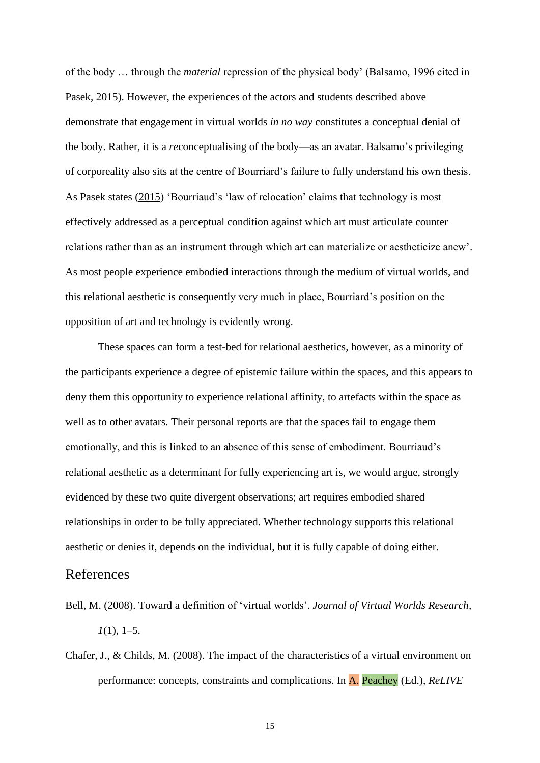of the body … through the *material* repression of the physical body' (Balsamo, 1996 cited in Pasek, [2015\)](#page-17-7). However, the experiences of the actors and students described above demonstrate that engagement in virtual worlds *in no way* constitutes a conceptual denial of the body. Rather, it is a *re*conceptualising of the body—as an avatar. Balsamo's privileging of corporeality also sits at the centre of Bourriard's failure to fully understand his own thesis. As Pasek states [\(2015\)](#page-17-7) 'Bourriaud's 'law of relocation' claims that technology is most effectively addressed as a perceptual condition against which art must articulate counter relations rather than as an instrument through which art can materialize or aestheticize anew'. As most people experience embodied interactions through the medium of virtual worlds, and this relational aesthetic is consequently very much in place, Bourriard's position on the opposition of art and technology is evidently wrong.

These spaces can form a test-bed for relational aesthetics, however, as a minority of the participants experience a degree of epistemic failure within the spaces, and this appears to deny them this opportunity to experience relational affinity, to artefacts within the space as well as to other avatars. Their personal reports are that the spaces fail to engage them emotionally, and this is linked to an absence of this sense of embodiment. Bourriaud's relational aesthetic as a determinant for fully experiencing art is, we would argue, strongly evidenced by these two quite divergent observations; art requires embodied shared relationships in order to be fully appreciated. Whether technology supports this relational aesthetic or denies it, depends on the individual, but it is fully capable of doing either.

## References

- <span id="page-15-0"></span>Bell, M. (2008). Toward a definition of 'virtual worlds'. *Journal of Virtual Worlds Research, 1*(1), 1–5.
- <span id="page-15-1"></span>Chafer, J., & Childs, M. (2008). The impact of the characteristics of a virtual environment on performance: concepts, constraints and complications. In A. Peachey (Ed.), *ReLIVE*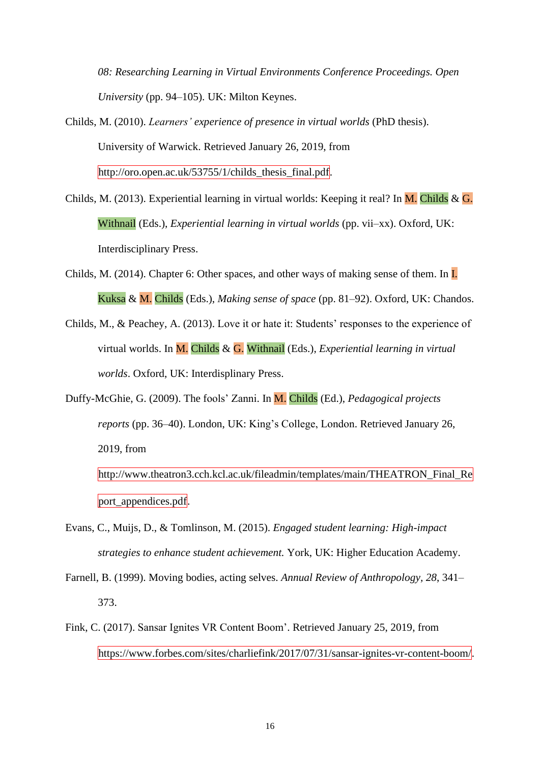*08: Researching Learning in Virtual Environments Conference Proceedings. Open University* (pp. 94–105). UK: Milton Keynes.

- <span id="page-16-2"></span>Childs, M. (2010). *Learners' experience of presence in virtual worlds* (PhD thesis). University of Warwick. Retrieved January 26, 2019, from http://oro.open.ac.uk/53755/1/childs\_thesis\_final.pdf.
- Childs, M. (2013). Experiential learning in virtual worlds: Keeping it real? In M. Childs & G. Withnail (Eds.), *Experiential learning in virtual worlds* (pp. vii–xx). Oxford, UK: Interdisciplinary Press.
- <span id="page-16-4"></span>Childs, M. (2014). Chapter 6: Other spaces, and other ways of making sense of them. In  $\overline{L}$ Kuksa & M. Childs (Eds.), *Making sense of space* (pp. 81–92). Oxford, UK: Chandos.
- <span id="page-16-0"></span>Childs, M., & Peachey, A. (2013). Love it or hate it: Students' responses to the experience of virtual worlds. In M. Childs & G. Withnail (Eds.), *Experiential learning in virtual worlds*. Oxford, UK: Interdisplinary Press.
- <span id="page-16-3"></span>Duffy-McGhie, G. (2009). The fools' Zanni. In M. Childs (Ed.), *Pedagogical projects reports* (pp. 36–40). London, UK: King's College, London. Retrieved January 26, 2019, from

http://www.theatron3.cch.kcl.ac.uk/fileadmin/templates/main/THEATRON\_Final\_Re port appendices.pdf.

- <span id="page-16-6"></span>Evans, C., Muijs, D., & Tomlinson, M. (2015). *Engaged student learning: High-impact strategies to enhance student achievement.* York, UK: Higher Education Academy.
- <span id="page-16-5"></span>Farnell, B. (1999). Moving bodies, acting selves. *Annual Review of Anthropology, 28*, 341– 373.
- <span id="page-16-1"></span>Fink, C. (2017). Sansar Ignites VR Content Boom'. Retrieved January 25, 2019, from https://www.forbes.com/sites/charliefink/2017/07/31/sansar-ignites-vr-content-boom/.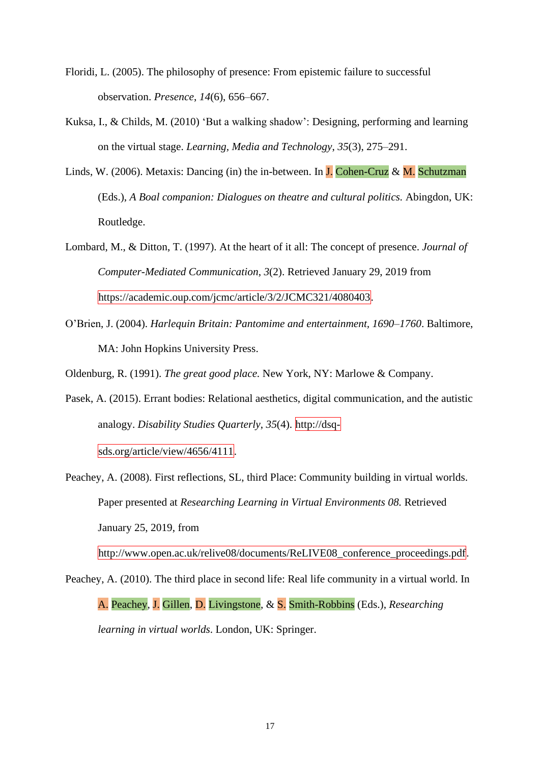- <span id="page-17-6"></span>Floridi, L. (2005). The philosophy of presence: From epistemic failure to successful observation. *Presence*, *14*(6), 656–667.
- Kuksa, I., & Childs, M. (2010) 'But a walking shadow': Designing, performing and learning on the virtual stage. *Learning, Media and Technology*, *35*(3), 275–291.
- <span id="page-17-5"></span>Linds, W. (2006). Metaxis: Dancing (in) the in-between. In  $J$ . Cohen-Cruz & M. Schutzman (Eds.), *A Boal companion: Dialogues on theatre and cultural politics.* Abingdon, UK: Routledge.
- <span id="page-17-4"></span>Lombard, M., & Ditton, T. (1997). At the heart of it all: The concept of presence. *Journal of Computer-Mediated Communication*, *3*(2). Retrieved January 29, 2019 from https://academic.oup.com/jcmc/article/3/2/JCMC321/4080403.
- <span id="page-17-3"></span>O'Brien, J. (2004). *Harlequin Britain: Pantomime and entertainment, 1690–1760*. Baltimore, MA: John Hopkins University Press.

<span id="page-17-0"></span>Oldenburg, R. (1991). *The great good place.* New York, NY: Marlowe & Company.

<span id="page-17-7"></span>Pasek, A. (2015). Errant bodies: Relational aesthetics, digital communication, and the autistic analogy. *Disability Studies Quarterly*, *35*(4). http://dsq-

sds.org/article/view/4656/4111.

<span id="page-17-1"></span>Peachey, A. (2008). First reflections, SL, third Place: Community building in virtual worlds. Paper presented at *Researching Learning in Virtual Environments 08.* Retrieved January 25, 2019, from

http://www.open.ac.uk/relive08/documents/ReLIVE08\_conference\_proceedings.pdf.

<span id="page-17-2"></span>Peachey, A. (2010). The third place in second life: Real life community in a virtual world. In A. Peachey, J. Gillen, D. Livingstone, & S. Smith-Robbins (Eds.), *Researching learning in virtual worlds*. London, UK: Springer.